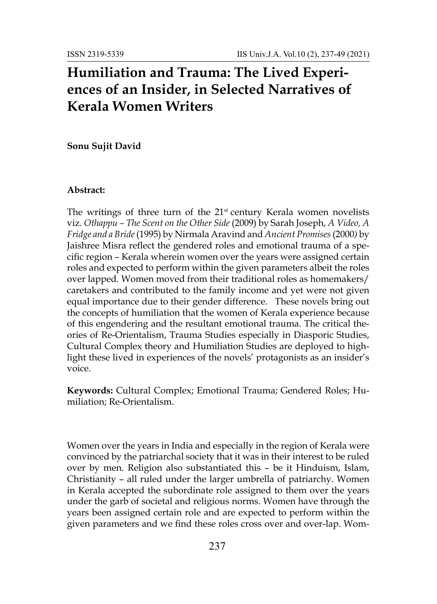# **Humiliation and Trauma: The Lived Experiences of an Insider, in Selected Narratives of Kerala Women Writers**

**Sonu Sujit David**

# **Abstract:**

The writings of three turn of the  $21<sup>st</sup>$  century Kerala women novelists viz. *Othappu – The Scent on the Other Side* (2009) by Sarah Joseph, *A Video, A Fridge and a Bride*(1995) by Nirmala Aravind and *Ancient Promises*(2000*)* by Jaishree Misra reflect the gendered roles and emotional trauma of a specific region – Kerala wherein women over the years were assigned certain roles and expected to perform within the given parameters albeit the roles over lapped. Women moved from their traditional roles as homemakers/ caretakers and contributed to the family income and yet were not given equal importance due to their gender difference. These novels bring out the concepts of humiliation that the women of Kerala experience because of this engendering and the resultant emotional trauma. The critical theories of Re-Orientalism, Trauma Studies especially in Diasporic Studies, Cultural Complex theory and Humiliation Studies are deployed to highlight these lived in experiences of the novels' protagonists as an insider's voice.

**Keywords:** Cultural Complex; Emotional Trauma; Gendered Roles; Humiliation; Re-Orientalism.

Women over the years in India and especially in the region of Kerala were convinced by the patriarchal society that it was in their interest to be ruled over by men. Religion also substantiated this – be it Hinduism, Islam, Christianity – all ruled under the larger umbrella of patriarchy. Women in Kerala accepted the subordinate role assigned to them over the years under the garb of societal and religious norms. Women have through the years been assigned certain role and are expected to perform within the given parameters and we find these roles cross over and over-lap. Wom-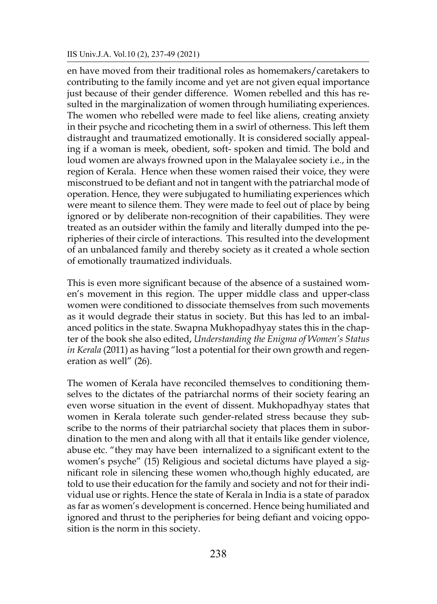en have moved from their traditional roles as homemakers/caretakers to contributing to the family income and yet are not given equal importance just because of their gender difference. Women rebelled and this has resulted in the marginalization of women through humiliating experiences. The women who rebelled were made to feel like aliens, creating anxiety in their psyche and ricocheting them in a swirl of otherness. This left them distraught and traumatized emotionally. It is considered socially appealing if a woman is meek, obedient, soft- spoken and timid. The bold and loud women are always frowned upon in the Malayalee society i.e., in the region of Kerala. Hence when these women raised their voice, they were misconstrued to be defiant and not in tangent with the patriarchal mode of operation. Hence, they were subjugated to humiliating experiences which were meant to silence them. They were made to feel out of place by being ignored or by deliberate non-recognition of their capabilities. They were treated as an outsider within the family and literally dumped into the peripheries of their circle of interactions. This resulted into the development of an unbalanced family and thereby society as it created a whole section of emotionally traumatized individuals.

This is even more significant because of the absence of a sustained women's movement in this region. The upper middle class and upper-class women were conditioned to dissociate themselves from such movements as it would degrade their status in society. But this has led to an imbalanced politics in the state. Swapna Mukhopadhyay states this in the chapter of the book she also edited, *Understanding the Enigma of Women's Status in Kerala* (2011) as having "lost a potential for their own growth and regeneration as well" (26).

The women of Kerala have reconciled themselves to conditioning themselves to the dictates of the patriarchal norms of their society fearing an even worse situation in the event of dissent. Mukhopadhyay states that women in Kerala tolerate such gender-related stress because they subscribe to the norms of their patriarchal society that places them in subordination to the men and along with all that it entails like gender violence, abuse etc. "they may have been internalized to a significant extent to the women's psyche" (15) Religious and societal dictums have played a significant role in silencing these women who,though highly educated, are told to use their education for the family and society and not for their individual use or rights. Hence the state of Kerala in India is a state of paradox as far as women's development is concerned. Hence being humiliated and ignored and thrust to the peripheries for being defiant and voicing opposition is the norm in this society.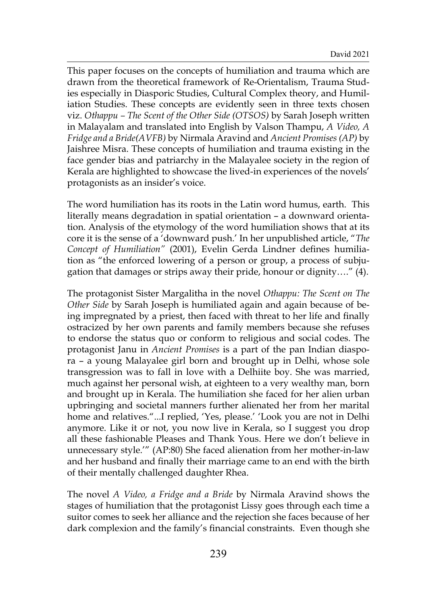This paper focuses on the concepts of humiliation and trauma which are drawn from the theoretical framework of Re-Orientalism, Trauma Studies especially in Diasporic Studies, Cultural Complex theory, and Humiliation Studies. These concepts are evidently seen in three texts chosen viz. *Othappu – The Scent of the Other Side (OTSOS)* by Sarah Joseph written in Malayalam and translated into English by Valson Thampu, *A Video, A Fridge and a Bride(AVFB)* by Nirmala Aravind and *Ancient Promises (AP)* by Jaishree Misra. These concepts of humiliation and trauma existing in the face gender bias and patriarchy in the Malayalee society in the region of Kerala are highlighted to showcase the lived-in experiences of the novels' protagonists as an insider's voice.

The word humiliation has its roots in the Latin word humus, earth. This literally means degradation in spatial orientation – a downward orientation. Analysis of the etymology of the word humiliation shows that at its core it is the sense of a 'downward push.' In her unpublished article, "*The Concept of Humiliation"* (2001), Evelin Gerda Lindner defines humiliation as "the enforced lowering of a person or group, a process of subjugation that damages or strips away their pride, honour or dignity…." (4).

The protagonist Sister Margalitha in the novel *Othappu: The Scent on The Other Side* by Sarah Joseph is humiliated again and again because of being impregnated by a priest, then faced with threat to her life and finally ostracized by her own parents and family members because she refuses to endorse the status quo or conform to religious and social codes. The protagonist Janu in *Ancient Promises* is a part of the pan Indian diaspora – a young Malayalee girl born and brought up in Delhi, whose sole transgression was to fall in love with a Delhiite boy. She was married, much against her personal wish, at eighteen to a very wealthy man, born and brought up in Kerala. The humiliation she faced for her alien urban upbringing and societal manners further alienated her from her marital home and relatives."...I replied, 'Yes, please.' 'Look you are not in Delhi anymore. Like it or not, you now live in Kerala, so I suggest you drop all these fashionable Pleases and Thank Yous. Here we don't believe in unnecessary style.'" (AP:80) She faced alienation from her mother-in-law and her husband and finally their marriage came to an end with the birth of their mentally challenged daughter Rhea.

The novel *A Video, a Fridge and a Bride* by Nirmala Aravind shows the stages of humiliation that the protagonist Lissy goes through each time a suitor comes to seek her alliance and the rejection she faces because of her dark complexion and the family's financial constraints. Even though she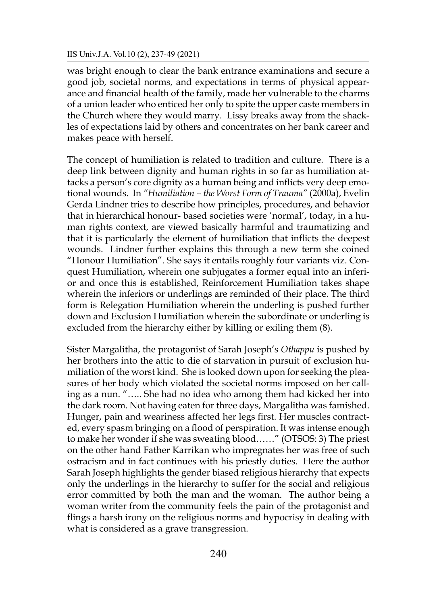was bright enough to clear the bank entrance examinations and secure a good job, societal norms, and expectations in terms of physical appearance and financial health of the family, made her vulnerable to the charms of a union leader who enticed her only to spite the upper caste members in the Church where they would marry. Lissy breaks away from the shackles of expectations laid by others and concentrates on her bank career and makes peace with herself.

The concept of humiliation is related to tradition and culture. There is a deep link between dignity and human rights in so far as humiliation attacks a person's core dignity as a human being and inflicts very deep emotional wounds. In *"Humiliation – the Worst Form of Trauma"* (2000a), Evelin Gerda Lindner tries to describe how principles, procedures, and behavior that in hierarchical honour- based societies were 'normal', today, in a human rights context, are viewed basically harmful and traumatizing and that it is particularly the element of humiliation that inflicts the deepest wounds. Lindner further explains this through a new term she coined "Honour Humiliation". She says it entails roughly four variants viz. Conquest Humiliation, wherein one subjugates a former equal into an inferior and once this is established, Reinforcement Humiliation takes shape wherein the inferiors or underlings are reminded of their place. The third form is Relegation Humiliation wherein the underling is pushed further down and Exclusion Humiliation wherein the subordinate or underling is excluded from the hierarchy either by killing or exiling them (8).

Sister Margalitha, the protagonist of Sarah Joseph's *Othappu* is pushed by her brothers into the attic to die of starvation in pursuit of exclusion humiliation of the worst kind. She is looked down upon for seeking the pleasures of her body which violated the societal norms imposed on her calling as a nun. "….. She had no idea who among them had kicked her into the dark room. Not having eaten for three days, Margalitha was famished. Hunger, pain and weariness affected her legs first. Her muscles contracted, every spasm bringing on a flood of perspiration. It was intense enough to make her wonder if she was sweating blood……" (OTSOS: 3) The priest on the other hand Father Karrikan who impregnates her was free of such ostracism and in fact continues with his priestly duties. Here the author Sarah Joseph highlights the gender biased religious hierarchy that expects only the underlings in the hierarchy to suffer for the social and religious error committed by both the man and the woman. The author being a woman writer from the community feels the pain of the protagonist and flings a harsh irony on the religious norms and hypocrisy in dealing with what is considered as a grave transgression.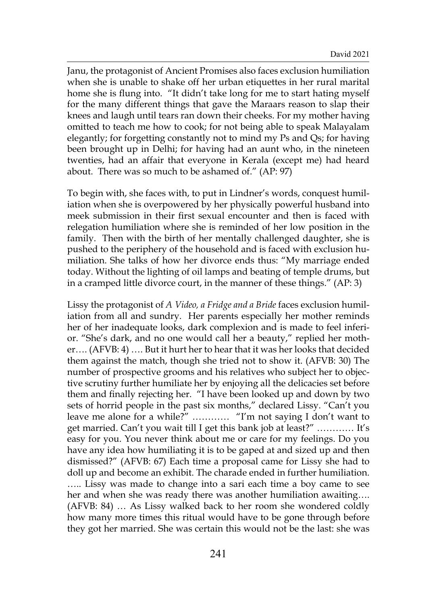Janu, the protagonist of Ancient Promises also faces exclusion humiliation when she is unable to shake off her urban etiquettes in her rural marital home she is flung into. "It didn't take long for me to start hating myself for the many different things that gave the Maraars reason to slap their knees and laugh until tears ran down their cheeks. For my mother having omitted to teach me how to cook; for not being able to speak Malayalam elegantly; for forgetting constantly not to mind my Ps and Qs; for having been brought up in Delhi; for having had an aunt who, in the nineteen twenties, had an affair that everyone in Kerala (except me) had heard about. There was so much to be ashamed of." (AP: 97)

To begin with, she faces with, to put in Lindner's words, conquest humiliation when she is overpowered by her physically powerful husband into meek submission in their first sexual encounter and then is faced with relegation humiliation where she is reminded of her low position in the family. Then with the birth of her mentally challenged daughter, she is pushed to the periphery of the household and is faced with exclusion humiliation. She talks of how her divorce ends thus: "My marriage ended today. Without the lighting of oil lamps and beating of temple drums, but in a cramped little divorce court, in the manner of these things." (AP: 3)

Lissy the protagonist of *A Video, a Fridge and a Bride* faces exclusion humiliation from all and sundry. Her parents especially her mother reminds her of her inadequate looks, dark complexion and is made to feel inferior. "She's dark, and no one would call her a beauty," replied her mother…. (AFVB: 4) …. But it hurt her to hear that it was her looks that decided them against the match, though she tried not to show it. (AFVB: 30) The number of prospective grooms and his relatives who subject her to objective scrutiny further humiliate her by enjoying all the delicacies set before them and finally rejecting her. "I have been looked up and down by two sets of horrid people in the past six months," declared Lissy. "Can't you leave me alone for a while?" ………… "I'm not saying I don't want to get married. Can't you wait till I get this bank job at least?" ………… It's easy for you. You never think about me or care for my feelings. Do you have any idea how humiliating it is to be gaped at and sized up and then dismissed?" (AFVB: 67) Each time a proposal came for Lissy she had to doll up and become an exhibit. The charade ended in further humiliation. ….. Lissy was made to change into a sari each time a boy came to see her and when she was ready there was another humiliation awaiting…. (AFVB: 84) … As Lissy walked back to her room she wondered coldly how many more times this ritual would have to be gone through before they got her married. She was certain this would not be the last: she was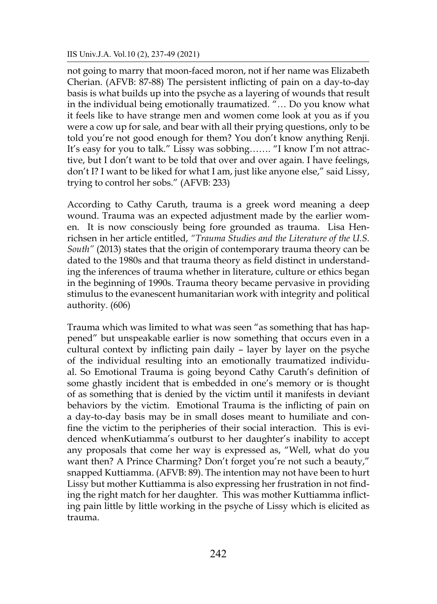not going to marry that moon-faced moron, not if her name was Elizabeth Cherian. (AFVB: 87-88) The persistent inflicting of pain on a day-to-day basis is what builds up into the psyche as a layering of wounds that result in the individual being emotionally traumatized. "… Do you know what it feels like to have strange men and women come look at you as if you were a cow up for sale, and bear with all their prying questions, only to be told you're not good enough for them? You don't know anything Renji. It's easy for you to talk." Lissy was sobbing……. "I know I'm not attractive, but I don't want to be told that over and over again. I have feelings, don't I? I want to be liked for what I am, just like anyone else," said Lissy, trying to control her sobs." (AFVB: 233)

According to Cathy Caruth, trauma is a greek word meaning a deep wound. Trauma was an expected adjustment made by the earlier women. It is now consciously being fore grounded as trauma. Lisa Henrichsen in her article entitled, *"Trauma Studies and the Literature of the U.S. South"* (2013) states that the origin of contemporary trauma theory can be dated to the 1980s and that trauma theory as field distinct in understanding the inferences of trauma whether in literature, culture or ethics began in the beginning of 1990s. Trauma theory became pervasive in providing stimulus to the evanescent humanitarian work with integrity and political authority. (606)

Trauma which was limited to what was seen "as something that has happened" but unspeakable earlier is now something that occurs even in a cultural context by inflicting pain daily – layer by layer on the psyche of the individual resulting into an emotionally traumatized individual. So Emotional Trauma is going beyond Cathy Caruth's definition of some ghastly incident that is embedded in one's memory or is thought of as something that is denied by the victim until it manifests in deviant behaviors by the victim. Emotional Trauma is the inflicting of pain on a day-to-day basis may be in small doses meant to humiliate and confine the victim to the peripheries of their social interaction. This is evidenced whenKutiamma's outburst to her daughter's inability to accept any proposals that come her way is expressed as, "Well, what do you want then? A Prince Charming? Don't forget you're not such a beauty," snapped Kuttiamma. (AFVB: 89). The intention may not have been to hurt Lissy but mother Kuttiamma is also expressing her frustration in not finding the right match for her daughter. This was mother Kuttiamma inflicting pain little by little working in the psyche of Lissy which is elicited as trauma.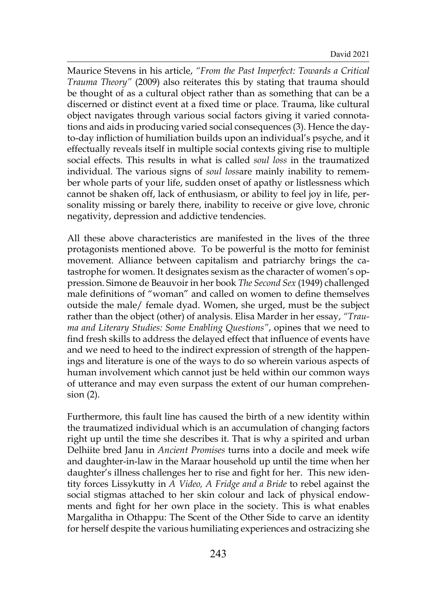Maurice Stevens in his article, *"From the Past Imperfect: Towards a Critical Trauma Theory"* (2009) also reiterates this by stating that trauma should be thought of as a cultural object rather than as something that can be a discerned or distinct event at a fixed time or place. Trauma, like cultural object navigates through various social factors giving it varied connotations and aids in producing varied social consequences (3). Hence the dayto-day infliction of humiliation builds upon an individual's psyche, and it effectually reveals itself in multiple social contexts giving rise to multiple social effects. This results in what is called *soul loss* in the traumatized individual. The various signs of *soul loss*are mainly inability to remember whole parts of your life, sudden onset of apathy or listlessness which cannot be shaken off, lack of enthusiasm, or ability to feel joy in life, personality missing or barely there, inability to receive or give love, chronic negativity, depression and addictive tendencies.

All these above characteristics are manifested in the lives of the three protagonists mentioned above. To be powerful is the motto for feminist movement. Alliance between capitalism and patriarchy brings the catastrophe for women. It designates sexism as the character of women's oppression. Simone de Beauvoir in her book *The Second Sex* (1949) challenged male definitions of "woman" and called on women to define themselves outside the male/ female dyad. Women, she urged, must be the subject rather than the object (other) of analysis. Elisa Marder in her essay, *"Trauma and Literary Studies: Some Enabling Questions"*, opines that we need to find fresh skills to address the delayed effect that influence of events have and we need to heed to the indirect expression of strength of the happenings and literature is one of the ways to do so wherein various aspects of human involvement which cannot just be held within our common ways of utterance and may even surpass the extent of our human comprehension (2).

Furthermore, this fault line has caused the birth of a new identity within the traumatized individual which is an accumulation of changing factors right up until the time she describes it. That is why a spirited and urban Delhiite bred Janu in *Ancient Promises* turns into a docile and meek wife and daughter-in-law in the Maraar household up until the time when her daughter's illness challenges her to rise and fight for her. This new identity forces Lissykutty in *A Video, A Fridge and a Bride* to rebel against the social stigmas attached to her skin colour and lack of physical endowments and fight for her own place in the society. This is what enables Margalitha in Othappu: The Scent of the Other Side to carve an identity for herself despite the various humiliating experiences and ostracizing she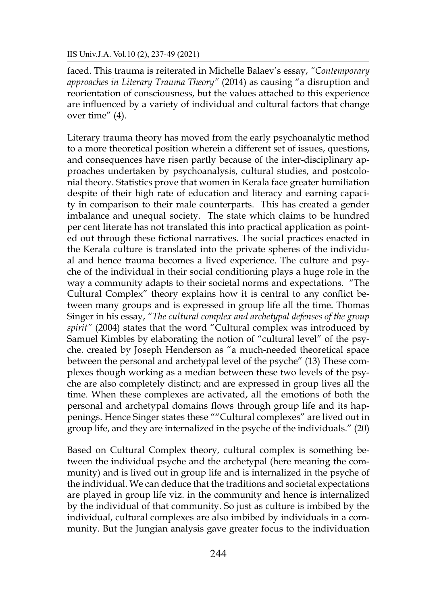faced. This trauma is reiterated in Michelle Balaev's essay, *"Contemporary approaches in Literary Trauma Theory"* (2014) as causing "a disruption and reorientation of consciousness, but the values attached to this experience are influenced by a variety of individual and cultural factors that change over time" (4).

Literary trauma theory has moved from the early psychoanalytic method to a more theoretical position wherein a different set of issues, questions, and consequences have risen partly because of the inter-disciplinary approaches undertaken by psychoanalysis, cultural studies, and postcolonial theory. Statistics prove that women in Kerala face greater humiliation despite of their high rate of education and literacy and earning capacity in comparison to their male counterparts. This has created a gender imbalance and unequal society. The state which claims to be hundred per cent literate has not translated this into practical application as pointed out through these fictional narratives. The social practices enacted in the Kerala culture is translated into the private spheres of the individual and hence trauma becomes a lived experience. The culture and psyche of the individual in their social conditioning plays a huge role in the way a community adapts to their societal norms and expectations. "The Cultural Complex" theory explains how it is central to any conflict between many groups and is expressed in group life all the time. Thomas Singer in his essay, *"The cultural complex and archetypal defenses of the group spirit"* (2004) states that the word "Cultural complex was introduced by Samuel Kimbles by elaborating the notion of "cultural level" of the psyche. created by Joseph Henderson as "a much-needed theoretical space between the personal and archetypal level of the psyche" (13) These complexes though working as a median between these two levels of the psyche are also completely distinct; and are expressed in group lives all the time. When these complexes are activated, all the emotions of both the personal and archetypal domains flows through group life and its happenings. Hence Singer states these ""Cultural complexes" are lived out in group life, and they are internalized in the psyche of the individuals." (20)

Based on Cultural Complex theory, cultural complex is something between the individual psyche and the archetypal (here meaning the community) and is lived out in group life and is internalized in the psyche of the individual. We can deduce that the traditions and societal expectations are played in group life viz. in the community and hence is internalized by the individual of that community. So just as culture is imbibed by the individual, cultural complexes are also imbibed by individuals in a community. But the Jungian analysis gave greater focus to the individuation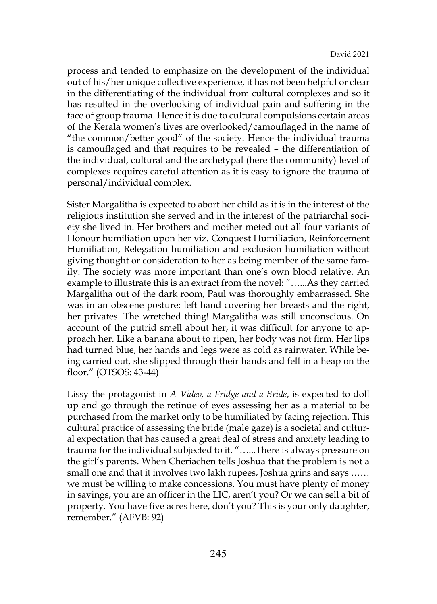process and tended to emphasize on the development of the individual out of his/her unique collective experience, it has not been helpful or clear in the differentiating of the individual from cultural complexes and so it has resulted in the overlooking of individual pain and suffering in the face of group trauma. Hence it is due to cultural compulsions certain areas of the Kerala women's lives are overlooked/camouflaged in the name of "the common/better good" of the society. Hence the individual trauma is camouflaged and that requires to be revealed – the differentiation of the individual, cultural and the archetypal (here the community) level of complexes requires careful attention as it is easy to ignore the trauma of personal/individual complex.

Sister Margalitha is expected to abort her child as it is in the interest of the religious institution she served and in the interest of the patriarchal society she lived in. Her brothers and mother meted out all four variants of Honour humiliation upon her viz. Conquest Humiliation, Reinforcement Humiliation, Relegation humiliation and exclusion humiliation without giving thought or consideration to her as being member of the same family. The society was more important than one's own blood relative. An example to illustrate this is an extract from the novel: "…...As they carried Margalitha out of the dark room, Paul was thoroughly embarrassed. She was in an obscene posture: left hand covering her breasts and the right, her privates. The wretched thing! Margalitha was still unconscious. On account of the putrid smell about her, it was difficult for anyone to approach her. Like a banana about to ripen, her body was not firm. Her lips had turned blue, her hands and legs were as cold as rainwater. While being carried out, she slipped through their hands and fell in a heap on the floor." (OTSOS: 43-44)

Lissy the protagonist in *A Video, a Fridge and a Bride*, is expected to doll up and go through the retinue of eyes assessing her as a material to be purchased from the market only to be humiliated by facing rejection. This cultural practice of assessing the bride (male gaze) is a societal and cultural expectation that has caused a great deal of stress and anxiety leading to trauma for the individual subjected to it. "…...There is always pressure on the girl's parents. When Cheriachen tells Joshua that the problem is not a small one and that it involves two lakh rupees, Joshua grins and says …… we must be willing to make concessions. You must have plenty of money in savings, you are an officer in the LIC, aren't you? Or we can sell a bit of property. You have five acres here, don't you? This is your only daughter, remember." (AFVB: 92)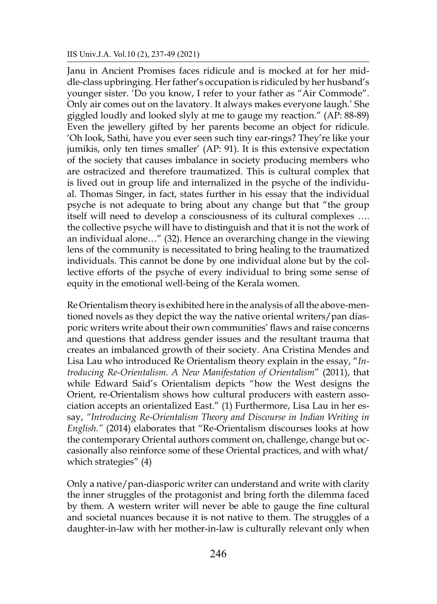Janu in Ancient Promises faces ridicule and is mocked at for her middle-class upbringing. Her father's occupation is ridiculed by her husband's younger sister. 'Do you know, I refer to your father as "Air Commode". Only air comes out on the lavatory. It always makes everyone laugh.' She giggled loudly and looked slyly at me to gauge my reaction." (AP: 88-89) Even the jewellery gifted by her parents become an object for ridicule. 'Oh look, Sathi, have you ever seen such tiny ear-rings? They're like your jumikis, only ten times smaller' (AP: 91). It is this extensive expectation of the society that causes imbalance in society producing members who are ostracized and therefore traumatized. This is cultural complex that is lived out in group life and internalized in the psyche of the individual. Thomas Singer, in fact, states further in his essay that the individual psyche is not adequate to bring about any change but that "the group itself will need to develop a consciousness of its cultural complexes …. the collective psyche will have to distinguish and that it is not the work of an individual alone…" (32). Hence an overarching change in the viewing lens of the community is necessitated to bring healing to the traumatized individuals. This cannot be done by one individual alone but by the collective efforts of the psyche of every individual to bring some sense of equity in the emotional well-being of the Kerala women.

Re Orientalism theory is exhibited here in the analysis of all the above-mentioned novels as they depict the way the native oriental writers/pan diasporic writers write about their own communities' flaws and raise concerns and questions that address gender issues and the resultant trauma that creates an imbalanced growth of their society. Ana Cristina Mendes and Lisa Lau who introduced Re Orientalism theory explain in the essay, "*Introducing Re-Orientalism. A New Manifestation of Orientalism*" (2011), that while Edward Said's Orientalism depicts "how the West designs the Orient, re-Orientalism shows how cultural producers with eastern association accepts an orientalized East." (1) Furthermore, Lisa Lau in her essay, *"Introducing Re-Orientalism Theory and Discourse in Indian Writing in English."* (2014) elaborates that "Re-Orientalism discourses looks at how the contemporary Oriental authors comment on, challenge, change but occasionally also reinforce some of these Oriental practices, and with what/ which strategies" (4)

Only a native/pan-diasporic writer can understand and write with clarity the inner struggles of the protagonist and bring forth the dilemma faced by them. A western writer will never be able to gauge the fine cultural and societal nuances because it is not native to them. The struggles of a daughter-in-law with her mother-in-law is culturally relevant only when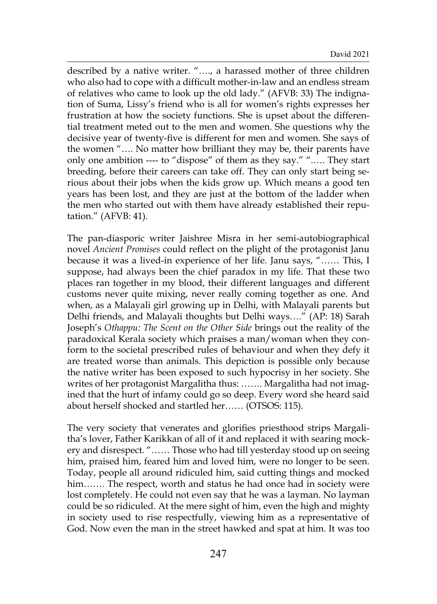described by a native writer. "…., a harassed mother of three children who also had to cope with a difficult mother-in-law and an endless stream of relatives who came to look up the old lady." (AFVB: 33) The indignation of Suma, Lissy's friend who is all for women's rights expresses her frustration at how the society functions. She is upset about the differential treatment meted out to the men and women. She questions why the decisive year of twenty-five is different for men and women. She says of the women "…. No matter how brilliant they may be, their parents have only one ambition ---- to "dispose" of them as they say." ".…. They start breeding, before their careers can take off. They can only start being serious about their jobs when the kids grow up. Which means a good ten years has been lost, and they are just at the bottom of the ladder when the men who started out with them have already established their reputation." (AFVB: 41).

The pan-diasporic writer Jaishree Misra in her semi-autobiographical novel *Ancient Promises* could reflect on the plight of the protagonist Janu because it was a lived-in experience of her life. Janu says, "…… This, I suppose, had always been the chief paradox in my life. That these two places ran together in my blood, their different languages and different customs never quite mixing, never really coming together as one. And when, as a Malayali girl growing up in Delhi, with Malayali parents but Delhi friends, and Malayali thoughts but Delhi ways…." (AP: 18) Sarah Joseph's *Othappu: The Scent on the Other Side* brings out the reality of the paradoxical Kerala society which praises a man/woman when they conform to the societal prescribed rules of behaviour and when they defy it are treated worse than animals. This depiction is possible only because the native writer has been exposed to such hypocrisy in her society. She writes of her protagonist Margalitha thus: ……. Margalitha had not imagined that the hurt of infamy could go so deep. Every word she heard said about herself shocked and startled her…… (OTSOS: 115).

The very society that venerates and glorifies priesthood strips Margalitha's lover, Father Karikkan of all of it and replaced it with searing mockery and disrespect. "…… Those who had till yesterday stood up on seeing him, praised him, feared him and loved him, were no longer to be seen. Today, people all around ridiculed him, said cutting things and mocked him……. The respect, worth and status he had once had in society were lost completely. He could not even say that he was a layman. No layman could be so ridiculed. At the mere sight of him, even the high and mighty in society used to rise respectfully, viewing him as a representative of God. Now even the man in the street hawked and spat at him. It was too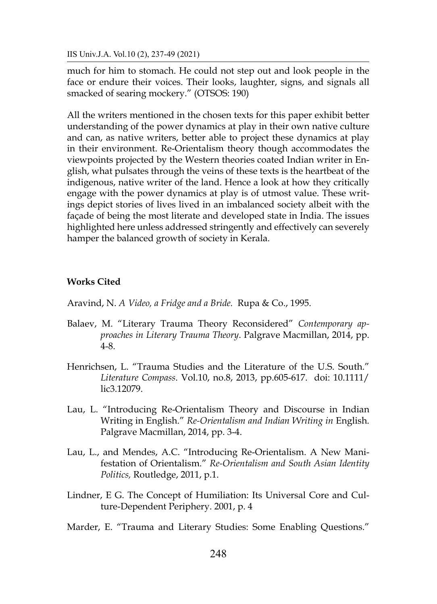much for him to stomach. He could not step out and look people in the face or endure their voices. Their looks, laughter, signs, and signals all smacked of searing mockery." (OTSOS: 190)

All the writers mentioned in the chosen texts for this paper exhibit better understanding of the power dynamics at play in their own native culture and can, as native writers, better able to project these dynamics at play in their environment. Re-Orientalism theory though accommodates the viewpoints projected by the Western theories coated Indian writer in English, what pulsates through the veins of these texts is the heartbeat of the indigenous, native writer of the land. Hence a look at how they critically engage with the power dynamics at play is of utmost value. These writings depict stories of lives lived in an imbalanced society albeit with the façade of being the most literate and developed state in India. The issues highlighted here unless addressed stringently and effectively can severely hamper the balanced growth of society in Kerala.

# **Works Cited**

Aravind, N. *A Video, a Fridge and a Bride.* Rupa & Co., 1995.

- Balaev, M. "Literary Trauma Theory Reconsidered" *Contemporary approaches in Literary Trauma Theory*. Palgrave Macmillan, 2014, pp. 4-8.
- Henrichsen, L. "Trauma Studies and the Literature of the U.S. South." *Literature Compass*. Vol.10, no.8, 2013, pp.605-617. doi: 10.1111/ lic3.12079.
- Lau, L. "Introducing Re-Orientalism Theory and Discourse in Indian Writing in English." *Re-Orientalism and Indian Writing in* English. Palgrave Macmillan, 2014, pp. 3-4.
- Lau, L., and Mendes, A.C. "Introducing Re-Orientalism. A New Manifestation of Orientalism." *Re-Orientalism and South Asian Identity Politics,* Routledge, 2011, p.1.
- Lindner, E G. The Concept of Humiliation: Its Universal Core and Culture-Dependent Periphery. 2001, p. 4
- Marder, E. "Trauma and Literary Studies: Some Enabling Questions."